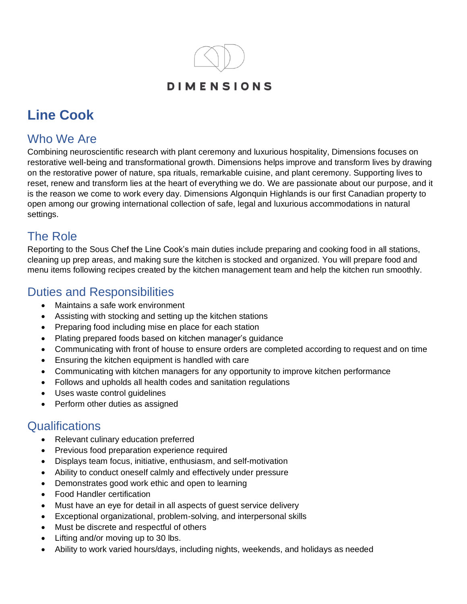

# **Line Cook**

## Who We Are

Combining neuroscientific research with plant ceremony and luxurious hospitality, Dimensions focuses on restorative well-being and transformational growth. Dimensions helps improve and transform lives by drawing on the restorative power of nature, spa rituals, remarkable cuisine, and plant ceremony. Supporting lives to reset, renew and transform lies at the heart of everything we do. We are passionate about our purpose, and it is the reason we come to work every day. Dimensions Algonquin Highlands is our first Canadian property to open among our growing international collection of safe, legal and luxurious accommodations in natural settings.

#### The Role

Reporting to the Sous Chef the Line Cook's main duties include preparing and cooking food in all stations, cleaning up prep areas, and making sure the kitchen is stocked and organized. You will prepare food and menu items following recipes created by the kitchen management team and help the kitchen run smoothly.

#### Duties and Responsibilities

- Maintains a safe work environment
- Assisting with stocking and setting up the kitchen stations
- Preparing food including mise en place for each station
- Plating prepared foods based on kitchen manager's guidance
- Communicating with front of house to ensure orders are completed according to request and on time
- Ensuring the kitchen equipment is handled with care
- Communicating with kitchen managers for any opportunity to improve kitchen performance
- Follows and upholds all health codes and sanitation regulations
- Uses waste control guidelines
- Perform other duties as assigned

### **Qualifications**

- Relevant culinary education preferred
- Previous food preparation experience required
- Displays team focus, initiative, enthusiasm, and self-motivation
- Ability to conduct oneself calmly and effectively under pressure
- Demonstrates good work ethic and open to learning
- Food Handler certification
- Must have an eye for detail in all aspects of guest service delivery
- Exceptional organizational, problem-solving, and interpersonal skills
- Must be discrete and respectful of others
- Lifting and/or moving up to 30 lbs.
- Ability to work varied hours/days, including nights, weekends, and holidays as needed